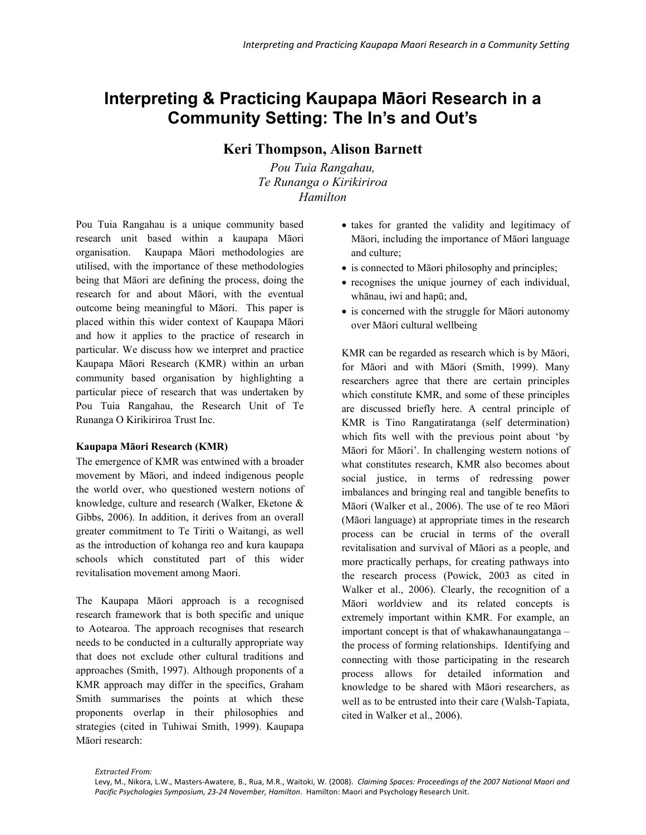# **Interpreting & Practicing Kaupapa Māori Research in a Community Setting: The In's and Out's**

## **Keri Thompson, Alison Barnett**

*Pou Tuia Rangahau, Te Runanga o Kirikiriroa Hamilton* 

Pou Tuia Rangahau is a unique community based research unit based within a kaupapa Māori organisation. Kaupapa Māori methodologies are utilised, with the importance of these methodologies being that Māori are defining the process, doing the research for and about Māori, with the eventual outcome being meaningful to Māori. This paper is placed within this wider context of Kaupapa Māori and how it applies to the practice of research in particular. We discuss how we interpret and practice Kaupapa Māori Research (KMR) within an urban community based organisation by highlighting a particular piece of research that was undertaken by Pou Tuia Rangahau, the Research Unit of Te Runanga O Kirikiriroa Trust Inc.

#### **Kaupapa Māori Research (KMR)**

The emergence of KMR was entwined with a broader movement by Māori, and indeed indigenous people the world over, who questioned western notions of knowledge, culture and research (Walker, Eketone & Gibbs, 2006). In addition, it derives from an overall greater commitment to Te Tiriti o Waitangi, as well as the introduction of kohanga reo and kura kaupapa schools which constituted part of this wider revitalisation movement among Maori.

The Kaupapa Māori approach is a recognised research framework that is both specific and unique to Aotearoa. The approach recognises that research needs to be conducted in a culturally appropriate way that does not exclude other cultural traditions and approaches (Smith, 1997). Although proponents of a KMR approach may differ in the specifics, Graham Smith summarises the points at which these proponents overlap in their philosophies and strategies (cited in Tuhiwai Smith, 1999). Kaupapa Māori research:

- takes for granted the validity and legitimacy of Māori, including the importance of Māori language and culture;
- is connected to Māori philosophy and principles;
- recognises the unique journey of each individual, whānau, iwi and hapū; and,
- is concerned with the struggle for Māori autonomy over Māori cultural wellbeing

KMR can be regarded as research which is by Māori, for Māori and with Māori (Smith, 1999). Many researchers agree that there are certain principles which constitute KMR, and some of these principles are discussed briefly here. A central principle of KMR is Tino Rangatiratanga (self determination) which fits well with the previous point about 'by Māori for Māori'. In challenging western notions of what constitutes research, KMR also becomes about social justice, in terms of redressing power imbalances and bringing real and tangible benefits to Māori (Walker et al., 2006). The use of te reo Māori (Māori language) at appropriate times in the research process can be crucial in terms of the overall revitalisation and survival of Māori as a people, and more practically perhaps, for creating pathways into the research process (Powick, 2003 as cited in Walker et al., 2006). Clearly, the recognition of a Māori worldview and its related concepts is extremely important within KMR. For example, an important concept is that of whakawhanaungatanga – the process of forming relationships. Identifying and connecting with those participating in the research process allows for detailed information and knowledge to be shared with Māori researchers, as well as to be entrusted into their care (Walsh-Tapiata, cited in Walker et al., 2006).

Levy, M., Nikora, L.W., Masters‐Awatere, B., Rua, M.R., Waitoki, W. (2008). *Claiming Spaces: Proceedings of the 2007 National Maori and Pacific Psychologies Symposium, 23‐24 November, Hamilton*. Hamilton: Maori and Psychology Research Unit.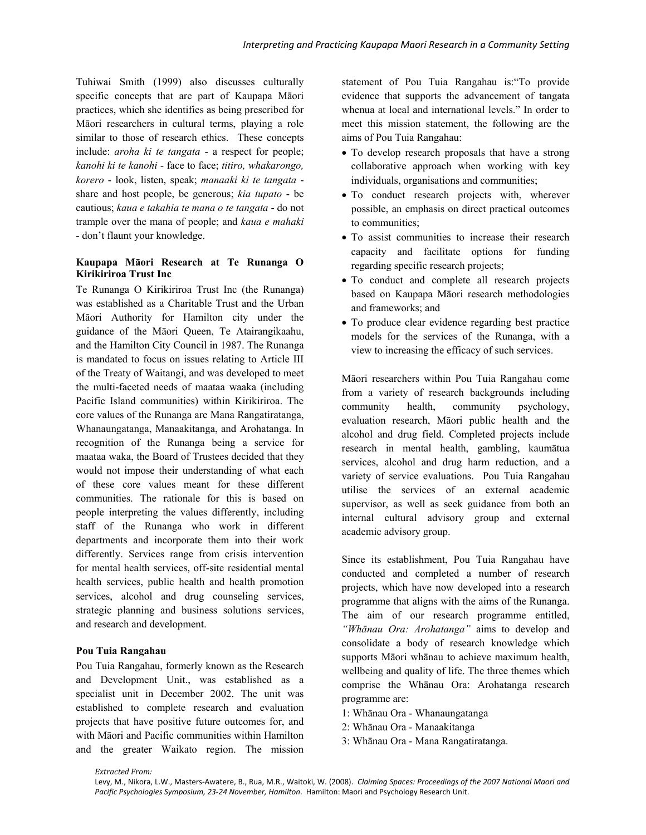Tuhiwai Smith (1999) also discusses culturally specific concepts that are part of Kaupapa Māori practices, which she identifies as being prescribed for Māori researchers in cultural terms, playing a role similar to those of research ethics. These concepts include: *aroha ki te tangata* - a respect for people; *kanohi ki te kanohi* - face to face; *titiro, whakarongo, korero* - look, listen, speak; *manaaki ki te tangata* share and host people, be generous; *kia tupato* - be cautious; *kaua e takahia te mana o te tangata* - do not trample over the mana of people; and *kaua e mahaki* - don't flaunt your knowledge.

#### **Kaupapa Māori Research at Te Runanga O Kirikiriroa Trust Inc**

Te Runanga O Kirikiriroa Trust Inc (the Runanga) was established as a Charitable Trust and the Urban Māori Authority for Hamilton city under the guidance of the Māori Queen, Te Atairangikaahu, and the Hamilton City Council in 1987. The Runanga is mandated to focus on issues relating to Article III of the Treaty of Waitangi, and was developed to meet the multi-faceted needs of maataa waaka (including Pacific Island communities) within Kirikiriroa. The core values of the Runanga are Mana Rangatiratanga, Whanaungatanga, Manaakitanga, and Arohatanga. In recognition of the Runanga being a service for maataa waka, the Board of Trustees decided that they would not impose their understanding of what each of these core values meant for these different communities. The rationale for this is based on people interpreting the values differently, including staff of the Runanga who work in different departments and incorporate them into their work differently. Services range from crisis intervention for mental health services, off-site residential mental health services, public health and health promotion services, alcohol and drug counseling services, strategic planning and business solutions services, and research and development.

## **Pou Tuia Rangahau**

Pou Tuia Rangahau, formerly known as the Research and Development Unit., was established as a specialist unit in December 2002. The unit was established to complete research and evaluation projects that have positive future outcomes for, and with Māori and Pacific communities within Hamilton and the greater Waikato region. The mission

statement of Pou Tuia Rangahau is:"To provide evidence that supports the advancement of tangata whenua at local and international levels." In order to meet this mission statement, the following are the aims of Pou Tuia Rangahau:

- To develop research proposals that have a strong collaborative approach when working with key individuals, organisations and communities;
- To conduct research projects with, wherever possible, an emphasis on direct practical outcomes to communities;
- To assist communities to increase their research capacity and facilitate options for funding regarding specific research projects;
- To conduct and complete all research projects based on Kaupapa Māori research methodologies and frameworks; and
- To produce clear evidence regarding best practice models for the services of the Runanga, with a view to increasing the efficacy of such services.

Māori researchers within Pou Tuia Rangahau come from a variety of research backgrounds including community health, community psychology, evaluation research, Māori public health and the alcohol and drug field. Completed projects include research in mental health, gambling, kaumātua services, alcohol and drug harm reduction, and a variety of service evaluations. Pou Tuia Rangahau utilise the services of an external academic supervisor, as well as seek guidance from both an internal cultural advisory group and external academic advisory group.

Since its establishment, Pou Tuia Rangahau have conducted and completed a number of research projects, which have now developed into a research programme that aligns with the aims of the Runanga. The aim of our research programme entitled, *"Whānau Ora: Arohatanga"* aims to develop and consolidate a body of research knowledge which supports Māori whānau to achieve maximum health, wellbeing and quality of life. The three themes which comprise the Whānau Ora: Arohatanga research programme are:

- 1: Whānau Ora Whanaungatanga
- 2: Whānau Ora Manaakitanga
- 3: Whānau Ora Mana Rangatiratanga.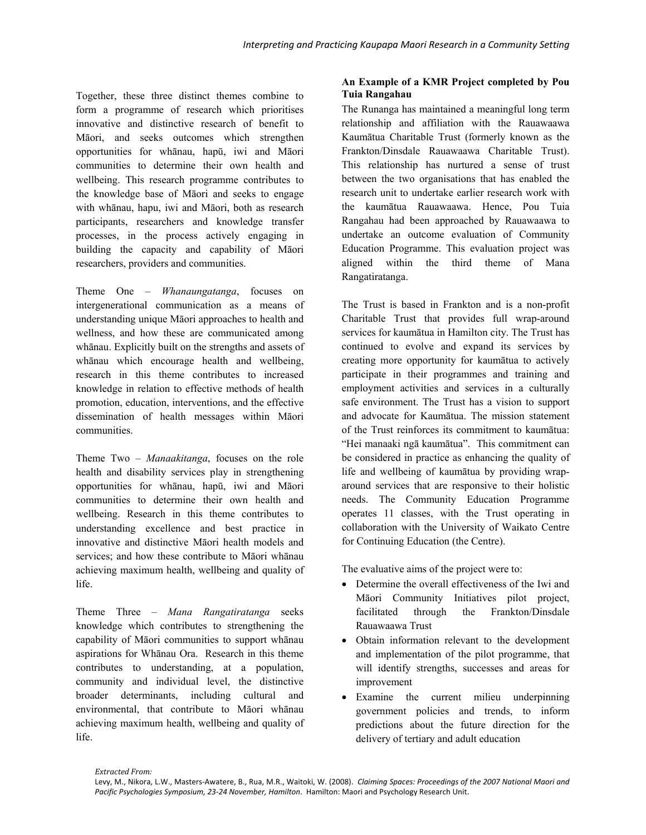Together, these three distinct themes combine to form a programme of research which prioritises innovative and distinctive research of benefit to Māori, and seeks outcomes which strengthen opportunities for whānau, hapū, iwi and Māori communities to determine their own health and wellbeing. This research programme contributes to the knowledge base of Māori and seeks to engage with whānau, hapu, iwi and Māori, both as research participants, researchers and knowledge transfer processes, in the process actively engaging in building the capacity and capability of Māori researchers, providers and communities.

Theme One – *Whanaungatanga*, focuses on intergenerational communication as a means of understanding unique Māori approaches to health and wellness, and how these are communicated among whānau. Explicitly built on the strengths and assets of whānau which encourage health and wellbeing, research in this theme contributes to increased knowledge in relation to effective methods of health promotion, education, interventions, and the effective dissemination of health messages within Māori communities.

Theme Two – *Manaakitanga*, focuses on the role health and disability services play in strengthening opportunities for whānau, hapū, iwi and Māori communities to determine their own health and wellbeing. Research in this theme contributes to understanding excellence and best practice in innovative and distinctive Māori health models and services; and how these contribute to Māori whānau achieving maximum health, wellbeing and quality of life.

Theme Three – *Mana Rangatiratanga* seeks knowledge which contributes to strengthening the capability of Māori communities to support whānau aspirations for Whānau Ora. Research in this theme contributes to understanding, at a population, community and individual level, the distinctive broader determinants, including cultural and environmental, that contribute to Māori whānau achieving maximum health, wellbeing and quality of life.

## **An Example of a KMR Project completed by Pou Tuia Rangahau**

The Runanga has maintained a meaningful long term relationship and affiliation with the Rauawaawa Kaumātua Charitable Trust (formerly known as the Frankton/Dinsdale Rauawaawa Charitable Trust). This relationship has nurtured a sense of trust between the two organisations that has enabled the research unit to undertake earlier research work with the kaumātua Rauawaawa. Hence, Pou Tuia Rangahau had been approached by Rauawaawa to undertake an outcome evaluation of Community Education Programme. This evaluation project was aligned within the third theme of Mana Rangatiratanga.

The Trust is based in Frankton and is a non-profit Charitable Trust that provides full wrap-around services for kaumātua in Hamilton city. The Trust has continued to evolve and expand its services by creating more opportunity for kaumātua to actively participate in their programmes and training and employment activities and services in a culturally safe environment. The Trust has a vision to support and advocate for Kaumātua. The mission statement of the Trust reinforces its commitment to kaumātua: "Hei manaaki ngā kaumātua". This commitment can be considered in practice as enhancing the quality of life and wellbeing of kaumātua by providing wraparound services that are responsive to their holistic needs. The Community Education Programme operates 11 classes, with the Trust operating in collaboration with the University of Waikato Centre for Continuing Education (the Centre).

The evaluative aims of the project were to:

- Determine the overall effectiveness of the Iwi and Māori Community Initiatives pilot project, facilitated through the Frankton/Dinsdale Rauawaawa Trust
- Obtain information relevant to the development and implementation of the pilot programme, that will identify strengths, successes and areas for improvement
- Examine the current milieu underpinning government policies and trends, to inform predictions about the future direction for the delivery of tertiary and adult education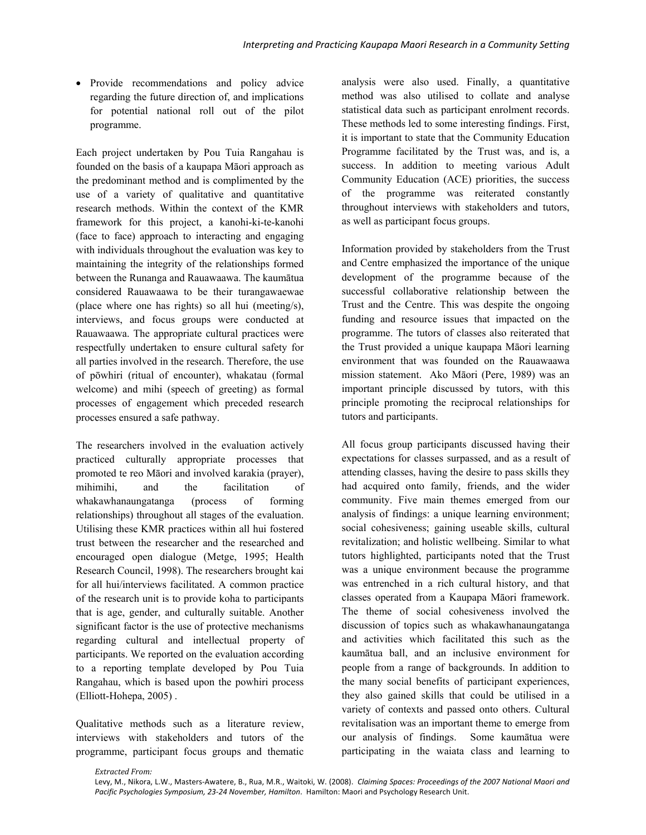• Provide recommendations and policy advice regarding the future direction of, and implications for potential national roll out of the pilot programme.

Each project undertaken by Pou Tuia Rangahau is founded on the basis of a kaupapa Māori approach as the predominant method and is complimented by the use of a variety of qualitative and quantitative research methods. Within the context of the KMR framework for this project, a kanohi-ki-te-kanohi (face to face) approach to interacting and engaging with individuals throughout the evaluation was key to maintaining the integrity of the relationships formed between the Runanga and Rauawaawa. The kaumātua considered Rauawaawa to be their turangawaewae (place where one has rights) so all hui (meeting/s), interviews, and focus groups were conducted at Rauawaawa. The appropriate cultural practices were respectfully undertaken to ensure cultural safety for all parties involved in the research. Therefore, the use of pōwhiri (ritual of encounter), whakatau (formal welcome) and mihi (speech of greeting) as formal processes of engagement which preceded research processes ensured a safe pathway.

The researchers involved in the evaluation actively practiced culturally appropriate processes that promoted te reo Māori and involved karakia (prayer), mihimihi, and the facilitation of whakawhanaungatanga (process of forming relationships) throughout all stages of the evaluation. Utilising these KMR practices within all hui fostered trust between the researcher and the researched and encouraged open dialogue (Metge, 1995; Health Research Council, 1998). The researchers brought kai for all hui/interviews facilitated. A common practice of the research unit is to provide koha to participants that is age, gender, and culturally suitable. Another significant factor is the use of protective mechanisms regarding cultural and intellectual property of participants. We reported on the evaluation according to a reporting template developed by Pou Tuia Rangahau, which is based upon the powhiri process (Elliott-Hohepa, 2005) .

Qualitative methods such as a literature review, interviews with stakeholders and tutors of the programme, participant focus groups and thematic analysis were also used. Finally, a quantitative method was also utilised to collate and analyse statistical data such as participant enrolment records. These methods led to some interesting findings. First, it is important to state that the Community Education Programme facilitated by the Trust was, and is, a success. In addition to meeting various Adult Community Education (ACE) priorities, the success of the programme was reiterated constantly throughout interviews with stakeholders and tutors, as well as participant focus groups.

Information provided by stakeholders from the Trust and Centre emphasized the importance of the unique development of the programme because of the successful collaborative relationship between the Trust and the Centre. This was despite the ongoing funding and resource issues that impacted on the programme. The tutors of classes also reiterated that the Trust provided a unique kaupapa Māori learning environment that was founded on the Rauawaawa mission statement. Ako Māori (Pere, 1989) was an important principle discussed by tutors, with this principle promoting the reciprocal relationships for tutors and participants.

All focus group participants discussed having their expectations for classes surpassed, and as a result of attending classes, having the desire to pass skills they had acquired onto family, friends, and the wider community. Five main themes emerged from our analysis of findings: a unique learning environment; social cohesiveness; gaining useable skills, cultural revitalization; and holistic wellbeing. Similar to what tutors highlighted, participants noted that the Trust was a unique environment because the programme was entrenched in a rich cultural history, and that classes operated from a Kaupapa Māori framework. The theme of social cohesiveness involved the discussion of topics such as whakawhanaungatanga and activities which facilitated this such as the kaumātua ball, and an inclusive environment for people from a range of backgrounds. In addition to the many social benefits of participant experiences, they also gained skills that could be utilised in a variety of contexts and passed onto others. Cultural revitalisation was an important theme to emerge from our analysis of findings. Some kaumātua were participating in the waiata class and learning to

*Extracted From:*

Levy, M., Nikora, L.W., Masters‐Awatere, B., Rua, M.R., Waitoki, W. (2008). *Claiming Spaces: Proceedings of the 2007 National Maori and Pacific Psychologies Symposium, 23‐24 November, Hamilton*. Hamilton: Maori and Psychology Research Unit.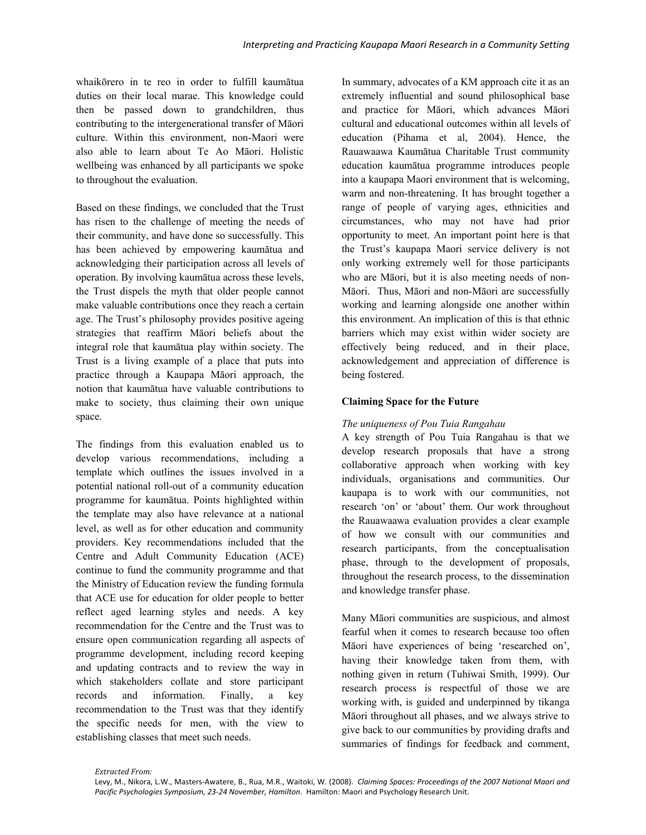whaikōrero in te reo in order to fulfill kaumātua duties on their local marae. This knowledge could then be passed down to grandchildren, thus contributing to the intergenerational transfer of Māori culture. Within this environment, non-Maori were also able to learn about Te Ao Māori. Holistic wellbeing was enhanced by all participants we spoke to throughout the evaluation.

Based on these findings, we concluded that the Trust has risen to the challenge of meeting the needs of their community, and have done so successfully. This has been achieved by empowering kaumātua and acknowledging their participation across all levels of operation. By involving kaumātua across these levels, the Trust dispels the myth that older people cannot make valuable contributions once they reach a certain age. The Trust's philosophy provides positive ageing strategies that reaffirm Māori beliefs about the integral role that kaumātua play within society. The Trust is a living example of a place that puts into practice through a Kaupapa Māori approach, the notion that kaumātua have valuable contributions to make to society, thus claiming their own unique space.

The findings from this evaluation enabled us to develop various recommendations, including a template which outlines the issues involved in a potential national roll-out of a community education programme for kaumātua. Points highlighted within the template may also have relevance at a national level, as well as for other education and community providers. Key recommendations included that the Centre and Adult Community Education (ACE) continue to fund the community programme and that the Ministry of Education review the funding formula that ACE use for education for older people to better reflect aged learning styles and needs. A key recommendation for the Centre and the Trust was to ensure open communication regarding all aspects of programme development, including record keeping and updating contracts and to review the way in which stakeholders collate and store participant records and information. Finally, a key recommendation to the Trust was that they identify the specific needs for men, with the view to establishing classes that meet such needs.

In summary, advocates of a KM approach cite it as an extremely influential and sound philosophical base and practice for Māori, which advances Māori cultural and educational outcomes within all levels of education (Pihama et al, 2004). Hence, the Rauawaawa Kaumātua Charitable Trust community education kaumātua programme introduces people into a kaupapa Maori environment that is welcoming, warm and non-threatening. It has brought together a range of people of varying ages, ethnicities and circumstances, who may not have had prior opportunity to meet. An important point here is that the Trust's kaupapa Maori service delivery is not only working extremely well for those participants who are Māori, but it is also meeting needs of non-Māori. Thus, Māori and non-Māori are successfully working and learning alongside one another within this environment. An implication of this is that ethnic barriers which may exist within wider society are effectively being reduced, and in their place, acknowledgement and appreciation of difference is being fostered.

#### **Claiming Space for the Future**

#### *The uniqueness of Pou Tuia Rangahau*

A key strength of Pou Tuia Rangahau is that we develop research proposals that have a strong collaborative approach when working with key individuals, organisations and communities. Our kaupapa is to work with our communities, not research 'on' or 'about' them. Our work throughout the Rauawaawa evaluation provides a clear example of how we consult with our communities and research participants, from the conceptualisation phase, through to the development of proposals, throughout the research process, to the dissemination and knowledge transfer phase.

Many Māori communities are suspicious, and almost fearful when it comes to research because too often Māori have experiences of being 'researched on', having their knowledge taken from them, with nothing given in return (Tuhiwai Smith, 1999). Our research process is respectful of those we are working with, is guided and underpinned by tikanga Māori throughout all phases, and we always strive to give back to our communities by providing drafts and summaries of findings for feedback and comment,